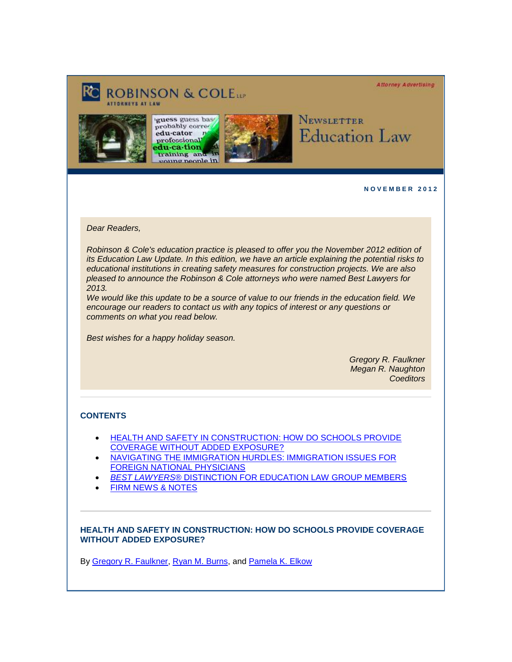**Attorney Advertising** 

# **ROBINSON & COLETT**







# Newsletter **Education Law**

**N O V E M B E R 2 0 1 2** 

*Dear Readers,* 

*Robinson & Cole's education practice is pleased to offer you the November 2012 edition of its Education Law Update. In this edition, we have an article explaining the potential risks to educational institutions in creating safety measures for construction projects. We are also pleased to announce the Robinson & Cole attorneys who were named Best Lawyers for 2013.*

*We would like this update to be a source of value to our friends in the education field. We encourage our readers to contact us with any topics of interest or any questions or comments on what you read below.*

*Best wishes for a happy holiday season.*

*Gregory R. Faulkner Megan R. Naughton Coeditors*

## **CONTENTS**

- [HEALTH AND SAFETY IN CONSTRUCTION: HOW DO SCHOOLS PROVIDE](#page-0-0)  [COVERAGE WITHOUT ADDED EXPOSURE?](#page-0-0)
- [NAVIGATING THE IMMIGRATION HURDLES: IMMIGRATION ISSUES FOR](#page-1-0)  [FOREIGN NATIONAL PHYSICIANS](#page-1-0)
- *BEST LAWYERS*[® DISTINCTION FOR EDUCATION LAW GROUP MEMBERS](#page-1-1)
- [FIRM NEWS & NOTES](#page-2-0)

#### <span id="page-0-0"></span>**HEALTH AND SAFETY IN CONSTRUCTION: HOW DO SCHOOLS PROVIDE COVERAGE WITHOUT ADDED EXPOSURE?**

By [Gregory R. Faulkner,](http://cl.exct.net/?ju=fe2b17757461037b741775&ls=fde61d797263037f7c157477&m=fefb1671756c0d&l=fec811727763027c&s=fe25167675620c7c721078&jb=ffcf14&t=) [Ryan M. Burns,](http://cl.exct.net/?ju=fe2917757461037b741777&ls=fde61d797263037f7c157477&m=fefb1671756c0d&l=fec811727763027c&s=fe25167675620c7c721078&jb=ffcf14&t=) and [Pamela K. Elkow](http://cl.exct.net/?ju=fe2e17757461037b741071&ls=fde61d797263037f7c157477&m=fefb1671756c0d&l=fec811727763027c&s=fe25167675620c7c721078&jb=ffcf14&t=)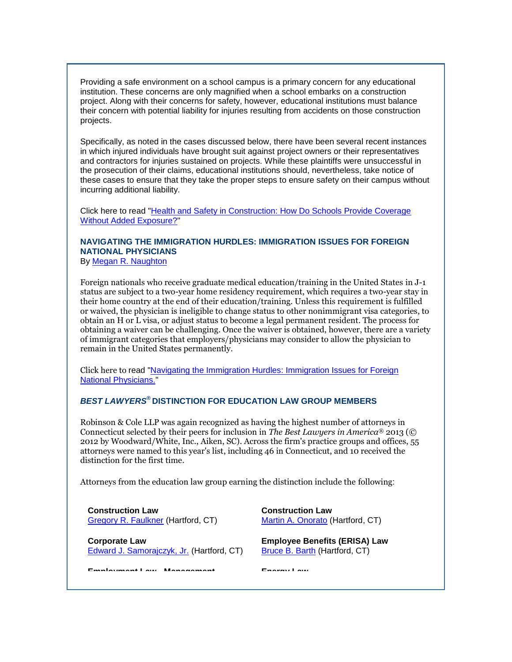Providing a safe environment on a school campus is a primary concern for any educational institution. These concerns are only magnified when a school embarks on a construction project. Along with their concerns for safety, however, educational institutions must balance their concern with potential liability for injuries resulting from accidents on those construction projects.

Specifically, as noted in the cases discussed below, there have been several recent instances in which injured individuals have brought suit against project owners or their representatives and contractors for injuries sustained on projects. While these plaintiffs were unsuccessful in the prosecution of their claims, educational institutions should, nevertheless, take notice of these cases to ensure that they take the proper steps to ensure safety on their campus without incurring additional liability.

Click here to read ["Health and Safety in Construction: How Do Schools Provide Coverage](http://cl.exct.net/?ju=fe2c17757461037b741073&ls=fde61d797263037f7c157477&m=fefb1671756c0d&l=fec811727763027c&s=fe25167675620c7c721078&jb=ffcf14&t=)  [Without Added Exposure?"](http://cl.exct.net/?ju=fe2c17757461037b741073&ls=fde61d797263037f7c157477&m=fefb1671756c0d&l=fec811727763027c&s=fe25167675620c7c721078&jb=ffcf14&t=)

# <span id="page-1-0"></span>**NAVIGATING THE IMMIGRATION HURDLES: IMMIGRATION ISSUES FOR FOREIGN NATIONAL PHYSICIANS**

By [Megan R. Naughton](http://cl.exct.net/?ju=fe2b17757461037b741074&ls=fde61d797263037f7c157477&m=fefb1671756c0d&l=fec811727763027c&s=fe25167675620c7c721078&jb=ffcf14&t=)

Foreign nationals who receive graduate medical education/training in the United States in J-1 status are subject to a two-year home residency requirement, which requires a two-year stay in their home country at the end of their education/training. Unless this requirement is fulfilled or waived, the physician is ineligible to change status to other nonimmigrant visa categories, to obtain an H or L visa, or adjust status to become a legal permanent resident. The process for obtaining a waiver can be challenging. Once the waiver is obtained, however, there are a variety of immigrant categories that employers/physicians may consider to allow the physician to remain in the United States permanently.

Click here to read ["Navigating the Immigration Hurdles: Immigration Issues for Foreign](http://cl.exct.net/?ju=fe2717757461037b741078&ls=fde61d797263037f7c157477&m=fefb1671756c0d&l=fec811727763027c&s=fe25167675620c7c721078&jb=ffcf14&t=)  [National Physicians."](http://cl.exct.net/?ju=fe2717757461037b741078&ls=fde61d797263037f7c157477&m=fefb1671756c0d&l=fec811727763027c&s=fe25167675620c7c721078&jb=ffcf14&t=)

## <span id="page-1-1"></span>*BEST LAWYERS***® DISTINCTION FOR EDUCATION LAW GROUP MEMBERS**

Robinson & Cole LLP was again recognized as having the highest number of attorneys in Connecticut selected by their peers for inclusion in *The Best Lawyers in America*® 2013 (© 2012 by Woodward/White, Inc., Aiken, SC). Across the firm's practice groups and offices, 55 attorneys were named to this year's list, including 46 in Connecticut, and 10 received the distinction for the first time.

Attorneys from the education law group earning the distinction include the following:

**Construction Law**  [Gregory R. Faulkner](http://cl.exct.net/?ju=fe2b17757461037b741775&ls=fde61d797263037f7c157477&m=fefb1671756c0d&l=fec811727763027c&s=fe25167675620c7c721078&jb=ffcf14&t=) (Hartford, CT)

**Corporate Law** [Edward J. Samorajczyk, Jr.](http://cl.exct.net/?ju=fe2c17757461037b741172&ls=fde61d797263037f7c157477&m=fefb1671756c0d&l=fec811727763027c&s=fe25167675620c7c721078&jb=ffcf14&t=) (Hartford, CT) **Construction Law** Martin [A. Onorato](http://cl.exct.net/?ju=fe2d17757461037b741171&ls=fde61d797263037f7c157477&m=fefb1671756c0d&l=fec811727763027c&s=fe25167675620c7c721078&jb=ffcf14&t=) (Hartford, CT)

**Employee Benefits (ERISA) Law** [Bruce B. Barth](http://cl.exct.net/?ju=fe2b17757461037b741173&ls=fde61d797263037f7c157477&m=fefb1671756c0d&l=fec811727763027c&s=fe25167675620c7c721078&jb=ffcf14&t=) (Hartford, CT)

**Employment Law - Management Energy Law**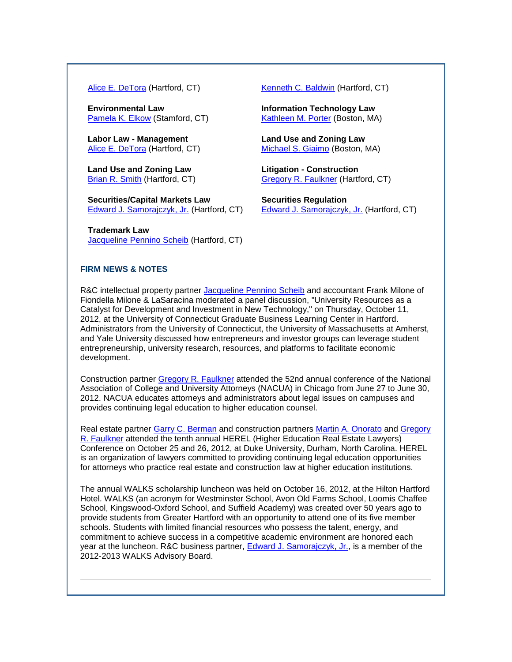**Environmental Law** [Pamela K. Elkow](http://cl.exct.net/?ju=fe2e17757461037b741071&ls=fde61d797263037f7c157477&m=fefb1671756c0d&l=fec811727763027c&s=fe25167675620c7c721078&jb=ffcf14&t=) (Stamford, CT)

**Labor Law - Management** [Alice E. DeTora](http://cl.exct.net/?ju=fe2a17757461037b741174&ls=fde61d797263037f7c157477&m=fefb1671756c0d&l=fec811727763027c&s=fe25167675620c7c721078&jb=ffcf14&t=) (Hartford, CT)

**Land Use and Zoning Law** [Brian R. Smith](http://cl.exct.net/?ju=fe2b17757461037b741272&ls=fde61d797263037f7c157477&m=fefb1671756c0d&l=fec811727763027c&s=fe25167675620c7c721078&jb=ffcf14&t=) (Hartford, CT)

**Securities/Capital Markets Law** [Edward J. Samorajczyk, Jr.](http://cl.exct.net/?ju=fe2c17757461037b741172&ls=fde61d797263037f7c157477&m=fefb1671756c0d&l=fec811727763027c&s=fe25167675620c7c721078&jb=ffcf14&t=) (Hartford, CT)

**Trademark Law** [Jacqueline Pennino Scheib](http://cl.exct.net/?ju=fe2a17757461037b741273&ls=fde61d797263037f7c157477&m=fefb1671756c0d&l=fec811727763027c&s=fe25167675620c7c721078&jb=ffcf14&t=) (Hartford, CT)

[Alice E. DeTora](http://cl.exct.net/?ju=fe2a17757461037b741174&ls=fde61d797263037f7c157477&m=fefb1671756c0d&l=fec811727763027c&s=fe25167675620c7c721078&jb=ffcf14&t=) (Hartford, CT) [Kenneth C. Baldwin](http://cl.exct.net/?ju=fe2717757461037b741177&ls=fde61d797263037f7c157477&m=fefb1671756c0d&l=fec811727763027c&s=fe25167675620c7c721078&jb=ffcf14&t=) (Hartford, CT)

**Information Technology Law** [Kathleen M. Porter](http://cl.exct.net/?ju=fe2d17757461037b741270&ls=fde61d797263037f7c157477&m=fefb1671756c0d&l=fec811727763027c&s=fe25167675620c7c721078&jb=ffcf14&t=) (Boston, MA)

**Land Use and Zoning Law** [Michael S. Giaimo](http://cl.exct.net/?ju=fe2c17757461037b741271&ls=fde61d797263037f7c157477&m=fefb1671756c0d&l=fec811727763027c&s=fe25167675620c7c721078&jb=ffcf14&t=) (Boston, MA)

**Litigation - Construction** [Gregory R. Faulkner](http://cl.exct.net/?ju=fe2b17757461037b741775&ls=fde61d797263037f7c157477&m=fefb1671756c0d&l=fec811727763027c&s=fe25167675620c7c721078&jb=ffcf14&t=) (Hartford, CT)

**Securities Regulation** [Edward J. Samorajczyk, Jr.](http://cl.exct.net/?ju=fe2c17757461037b741172&ls=fde61d797263037f7c157477&m=fefb1671756c0d&l=fec811727763027c&s=fe25167675620c7c721078&jb=ffcf14&t=) (Hartford, CT)

#### <span id="page-2-0"></span>**FIRM NEWS & NOTES**

R&C intellectual property partner [Jacqueline Pennino Scheib](http://cl.exct.net/?ju=fe2a17757461037b741273&ls=fde61d797263037f7c157477&m=fefb1671756c0d&l=fec811727763027c&s=fe25167675620c7c721078&jb=ffcf14&t=) and accountant Frank Milone of Fiondella Milone & LaSaracina moderated a panel discussion, "University Resources as a Catalyst for Development and Investment in New Technology," on Thursday, October 11, 2012, at the University of Connecticut Graduate Business Learning Center in Hartford. Administrators from the University of Connecticut, the University of Massachusetts at Amherst, and Yale University discussed how entrepreneurs and investor groups can leverage student entrepreneurship, university research, resources, and platforms to facilitate economic development.

Construction partner [Gregory R. Faulkner](http://cl.exct.net/?ju=fe2b17757461037b741775&ls=fde61d797263037f7c157477&m=fefb1671756c0d&l=fec811727763027c&s=fe25167675620c7c721078&jb=ffcf14&t=) attended the 52nd annual conference of the National Association of College and University Attorneys (NACUA) in Chicago from June 27 to June 30, 2012. NACUA educates attorneys and administrators about legal issues on campuses and provides continuing legal education to higher education counsel.

Real estate partner [Garry C. Berman](http://cl.exct.net/?ju=fe2917757461037b741274&ls=fde61d797263037f7c157477&m=fefb1671756c0d&l=fec811727763027c&s=fe25167675620c7c721078&jb=ffcf14&t=) and construction partners [Martin A. Onorato](http://cl.exct.net/?ju=fe2d17757461037b741171&ls=fde61d797263037f7c157477&m=fefb1671756c0d&l=fec811727763027c&s=fe25167675620c7c721078&jb=ffcf14&t=) and Gregory [R. Faulkner](http://cl.exct.net/?ju=fe2b17757461037b741775&ls=fde61d797263037f7c157477&m=fefb1671756c0d&l=fec811727763027c&s=fe25167675620c7c721078&jb=ffcf14&t=) attended the tenth annual HEREL (Higher Education Real Estate Lawyers) Conference on October 25 and 26, 2012, at Duke University, Durham, North Carolina. HEREL is an organization of lawyers committed to providing continuing legal education opportunities for attorneys who practice real estate and construction law at higher education institutions.

The annual WALKS scholarship luncheon was held on October 16, 2012, at the Hilton Hartford Hotel. WALKS (an acronym for Westminster School, Avon Old Farms School, Loomis Chaffee School, Kingswood-Oxford School, and Suffield Academy) was created over 50 years ago to provide students from Greater Hartford with an opportunity to attend one of its five member schools. Students with limited financial resources who possess the talent, energy, and commitment to achieve success in a competitive academic environment are honored each year at the luncheon. R&C business partner, [Edward J. Samorajczyk, Jr.,](http://cl.exct.net/?ju=fe2c17757461037b741172&ls=fde61d797263037f7c157477&m=fefb1671756c0d&l=fec811727763027c&s=fe25167675620c7c721078&jb=ffcf14&t=) is a member of the 2012-2013 WALKS Advisory Board.